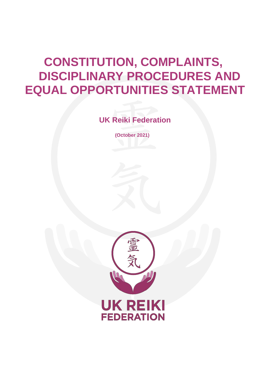# **CONSTITUTION, COMPLAINTS, DISCIPLINARY PROCEDURES AND EQUAL OPPORTUNITIES STATEMENT**

**UK Reiki Federation**

**(October 2021)**

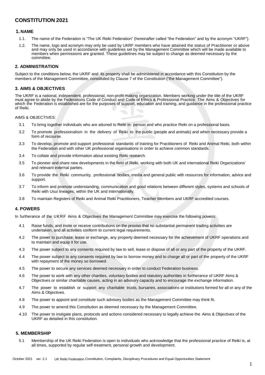# **CONSTITUTION 2021**

#### **1. NAME**

- 1.1. The name of the Federation is "The UK Reiki Federation" (hereinafter called "the Federation" and by the acronym "UKRF").
- 1.2. The name, logo and acronym may only be used by UKRF members who have attained the status of Practitioner or above and may only be used in accordance with guidelines set by the Management Committee which will be made available to members when permissions are granted. These guidelines may be subject to change as deemed necessary by the committee.

# **2. ADMINISTRATION**

Subject to the conditions below, the UKRF and its property shall be administered in accordance with this Constitution by the members of the Management Committee, constituted by Clause 7 of the Constitution ("the Management Committee").

# **3. AIMS & OBJECTIVES**

The UKRF is a national, independent, professional, non-profit making organization. Members working under the title of the UKRF must agree to abide by the Federations Code of Conduct and Code of Ethics & Professional Practice. The Aims & Objectives for which the Federation is established are for the purposes of support, education and training, and guidance in the professional practice of Reiki.

AIMS & OBJECTIVES:

- 3.1 To bring together individuals who are attuned to Reiki in- person and who practice Reiki on a professional basis.
- 3.2 To promote professionalism in the delivery of Reiki to the public (people and animals) and when necessary provide a form of recourse.
- 3.3 To develop, promote and support professional standards of training for Practitioners of Reiki and Animal Reiki, both within the Federation and with other UK professional organisations in order to achieve common standards.
- 3.4 To collate and provide information about existing Reiki research.
- 3.5 To pioneer and share new developments in the field of Reiki, working with both UK and international Reiki Organizations' and relevant external parties.
- 3.6 To provide the Reiki community, professional bodies, media and general public with resources for information, advice and support.
- 3.7 To inform and promote understanding, communication and good relations between different styles, systems and schools of Reiki with Usui lineages, within the UK and internationally.
- 3.8 To maintain Registers of Reiki and Animal Reiki Practitioners, Teacher Members and UKRF accredited courses.

#### **4. POWERS**

In furtherance of the UKRF Aims & Objectives the Management Committee may exercise the following powers:

- 4.1 Raise funds, and invite or receive contributions on the proviso that no substantial permanent trading activities are undertaken, and all activities conform to current legal requirements.
- 4.2 The power to purchase, lease or exchange, any property deemed necessary for the achievement of UKRF operations and to maintain and equip it for use.
- 4.3 The power subject to any consents required by law to sell, lease or dispose of all or any part of the property of the UKRF.
- 4.4 The power subject to any consents required by law to borrow money and to charge all or part of the property of the UKRF with repayment of the money so borrowed.
- 4.5 The power to secure any services deemed necessary in order to conduct Federation business.
- 4.6 The power to work with any other charities, voluntary bodies and statutory authorities in furtherance of UKRF Aims & Objectives or similar charitable causes, acting in an advisory capacity and to encourage the exchange information.
- 4.7 The power to establish or support any charitable trusts, bursaries, associations or institutions formed for all or any of the Aims & Objectives.
- 4.8 The power to appoint and constitute such advisory bodies as the Management Committee may think fit.
- 4.9 The power to amend this Constitution as deemed necessary by the Management Committee.
- 4.10 The power to instigate plans, protocols and actions considered necessary to legally achieve the Aims & Objectives of the UKRF as detailed in this constitution.

#### **5. MEMBERSHIP**

5.1 Membership of the UK Reiki Federation is open to individuals who acknowledge that the professional practice of Reiki is, at all times, supported by regular self-treatment, personal growth and development.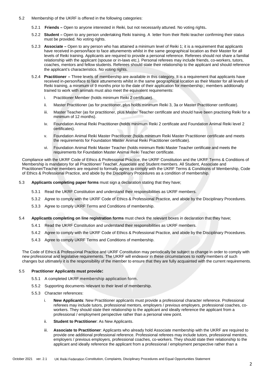- 5.2 Membership of the UKRF is offered in the following categories:
	- 5.2.1 **Friends –** Open to anyone interested in Reiki, but not necessarily attuned. No voting rights**.**
	- 5.2.2 **Student –** Open to any person undertaking Reiki training. A letter from their Reiki teacher confirming their status must be provided. No voting rights.
	- 5.2.3 **Associate –** Open to any person who has attained a minimum level of Reiki 1; it is a requirement that applicants have received in-person/face to face attunements whilst in the same geographical location as their Master for all levels of Reiki training. Applicants are required to provide a personal reference. Referees should not share a familial relationship with the applicant (spouse or in-laws etc.). Personal referees may include friends, co-workers, tutors, coaches, mentors and fellow students. Referees should state their relationship to the applicant and should reference the applicant's characteristics. No voting rights.
	- 5.2.4 **Practitioner –** Three levels of membership are available in this category. It is a requirement that applicants have received in-person/face to face attunements whilst in the same geographical location as their Master for all levels of Reiki training, a minimum of 9 months prior to the date of their application for membership;; members additionally trained to work with animals must also meet the equivalent requirements:
		- i. Practitioner Member (holds minimum Reiki 2 certificate).
		- ii. Master Practitioner (as for practitioner, plus holds minimum Reiki 3, 3a or Master Practitioner certificate).
		- iii. Master Teacher (as for practitioner, plus Master Teacher certificate and should have been practising Reiki for a minimum of 12 months).
		- iv. Foundation Animal Reiki Practitioner (holds minimum Reiki 2 certificate and Foundation Animal Reiki level 2 certificates).
		- v. Foundation Animal Reiki Master Practitioner (holds minimum Reiki Master Practitioner certificate and meets the requirements for Foundation Master Animal Reiki Practitioner certificate).
		- vi. Foundation Animal Reiki Master Teacher (holds minimum Reiki Master Teacher certificate and meets the requirements for Foundation Master Animal Reiki Teacher certificate.

Compliance with the UKRF Code of Ethics & Professional Practice, the UKRF Constitution and the UKRF Terms & Conditions of Membership is mandatory for all Practitioner/ Teacher, Associate and Student members. All Student, Associate and Practitioner/Teacher members are required to formally agree to comply with the UKRF Terms & Conditions of Membership, Code of Ethics & Professional Practice, and abide by the Disciplinary Procedures as a condition of membership.

- 5.3 **Applicants completing paper forms** must sign a declaration stating that they have;
	- 5.3.1 Read the UKRF Constitution and understand their responsibilities as UKRF members.
	- 5.3.2 Agree to comply with the UKRF Code of Ethics & Professional Practice, and abide by the Disciplinary Procedures.
	- 5.3.3 Agree to comply UKRF Terms and Conditions of membership.
- 5.4 **Applicants completing on line registration forms** must check the relevant boxes in declaration that they have;
	- 5.4.1 Read the UKRF Constitution and understand their responsibilities as UKRF members.
	- 5.4.2 Agree to comply with the UKRF Code of Ethics & Professional Practice, and abide by the Disciplinary Procedures.
	- 5.4.3 Agree to comply UKRF Terms and Conditions of membership.

The Code of Ethics & Professional Practice and UKRF Constitution may periodically be subject to change in order to comply with new professional and legislative requirements. The UKRF will endeavor in these circumstances to notify members of such changes but ultimately it is the responsibility of the member to ensure that they are fully acquainted with the current requirements.

#### 5.5 **Practitioner Applicants must provide:**

- 5.5.1 A completed UKRF membership application form.
- 5.5.2 Supporting documents relevant to their level of membership.
- 5.5.3 Character references:
	- i. **New Applicants**: New Practitioner applicants must provide a professional character reference. Professional referees may include tutors, professional mentors, employers / previous employers, professional coaches, coworkers. They should state their relationship to the applicant and ideally reference the applicant from a professional / employment perspective rather than a personal view point.
	- ii. **Student to Practitioner**: As New Applicants.
	- iii. **Associate to Practitioner**: Applicants who already hold Associate membership with the UKRF are required to provide one additional professional reference. Professional referees may include tutors, professional mentors, employers / previous employers, professional coaches, co-workers. They should state their relationship to the applicant and ideally reference the applicant from a professional / employment perspective rather than a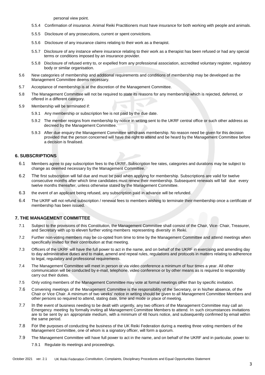personal view point.

- 5.5.4 Confirmation of insurance. Animal Reiki Practitioners must have insurance for both working with people and animals.
- 5.5.5 Disclosure of any prosecutions, current or spent convictions.
- 5.5.6 Disclosure of any insurance claims relating to their work as a therapist.
- 5.5.7 Disclosure of any instance where insurance relating to their work as a therapist has been refused or had any special terms or conditions imposed by an insurance provider.
- 5.5.8 Disclosure of refused entry to, or expelled from any professional association, accredited voluntary register, regulatory body or similar organisation.
- 5.6 New categories of membership and additional requirements and conditions of membership may be developed as the Management Committee deems necessary.
- 5.7 Acceptance of membership is at the discretion of the Management Committee.
- 5.8 The Management Committee will not be required to state its reasons for any membership which is rejected, deferred, or offered in a different category.
- 5.9 Membership will be terminated if:
	- 5.9.1 Any membership or subscription fee is not paid by the due date.
	- 5.9.2 The member resigns from membership by notice in writing sent to the UKRF central office or such other address as decreed by the Management Committee.
	- 5.9.3 After due enquiry the Management Committee withdraws membership. No reason need be given for this decision provided that the person concerned will have the right to attend and be heard by the Management Committee before a decision is finalised.

# **6. SUBSCRIPTIONS**

- 6.1 Members agree to pay subscription fees to the UKRF. Subscription fee rates, categories and durations may be subject to change as deemed necessary by the Management Committee.
- 6.2 The first subscription will fall due and must be paid when applying for membership. Subscriptions are valid for twelve consecutive months after which time candidates must renew their membership. Subsequent renewals will fall due every twelve months thereafter, unless otherwise stated by the Management Committee.
- 6.3 the event of an applicant being refused, any subscription paid in advance will be refunded.
- 6.4 The UKRF will not refund subscription / renewal fees to members wishing to terminate their membership once a certificate of membership has been issued.

#### **7. THE MANAGEMENT COMMITTEE**

- 7.1 Subject to the provisions of this Constitution, the Management Committee shall consist of the Chair, Vice- Chair, Treasurer, and Secretary with up to eleven further voting members representing diversity in Reiki.
- 7.2 Further non-voting members may be co-opted from time to time by the Management Committee and attend meetings when specifically invited for their contribution at that meeting.
- 7.3 Officers of the UKRF will have the full power to act in the name, and on behalf of the UKRF in exercising and amending day to day administrative duties and to make, amend and repeal rules, regulations and protocols in matters relating to adherence to legal, regulatory and professional requirements.
- 7.4 The Management Committee will meet in person or via video conference a minimum of four times a year. All other communication will be conducted by e-mail, telephone, video conference or by other means as is required to responsibly carry out their duties.
- 7.5 Only voting members of the Management Committee may vote at formal meetings other than by specific invitation.
- 7.6 Convening meetings of the Management Committee is the responsibility of the Secretary, or in his/her absence, of the Chair or Vice Chair. A minimum of two weeks' notice in writing should be given to all Management Committee Members and other persons so required to attend, stating date, time and mode or place of meeting.
- 7.7 In the event of business needing to be dealt with urgently, any two officers of the Management Committee may call an Emergency meeting by formally inviting all Management Committee Members to attend. In such circumstances invitations are to be sent by an appropriate medium, with a minimum of 48 hours notice, and subsequently confirmed by email within the same period.
- 7.8 For the purposes of conducting the business of the UK Reiki Federation during a meeting three voting members of the Management Committee, one of whom is a signatory officer, will form a quorum.
- 7.9 The Management Committee will have full power to act in the name, and on behalf of the UKRF and in particular, power to:
	- 7.9.1 Regulate its meetings and proceedings.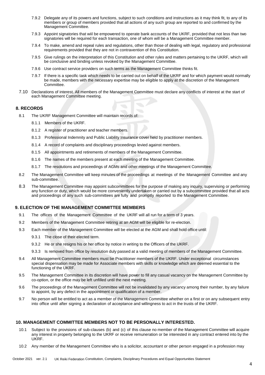- 7.9.2 Delegate any of its powers and functions, subject to such conditions and instructions as it may think fit, to any of its members or group of members provided that all actions of any such group are reported to and confirmed by the Management Committee.
- 7.9.3 Appoint signatories that wiil be empowered to operate bank accounts of the UKRF, provided that not less than two signatories will be required for each transaction, one of whom will be a Management Committee member.
- 7.9.4 To make, amend and repeal rules and regulations, other than those of dealing with legal, regulatory and professional requirements provided that they are not in contravention of this Constitution.
- 7.9.5 Give rulings on the interpretation of this Constitution and other rules and matters pertaining to the UKRF, which will be conclusive and binding unless revoked by the Management Committee.
- 7.9.6 Use contract service providers on such terms as the Management Committee thinks fit.
- 7.9.7 If there is a specific task which needs to be carried out on behalf of the UKRF and for which payment would normally be made, members with the necessary expertise may be eligible to apply at the discretion of the Management Committee.
- 7.10 Declarations of interest. All members of the Management Committee must declare any conflicts of interest at the start of each Management Committee meeting.

#### **8. RECORDS**

- 8.1 The UKRF Management Committee will maintain records of:
	- 8.1.1 Members of the UKRF.
	- 8.1.2 A register of practitioner and teacher members.
	- 8.1.3 Professional Indemnity and Public Liability Insurance cover held by practitioner members.
	- 8.1.4 A record of complaints and disciplinary proceedings levied against members.
	- 8.1.5 All appointments and retirements of members of the Management Committee.
	- 8.1.6 The names of the members present at each meeting of the Management Committee.
	- 8.1.7 The resolutions and proceedings of AGMs and other meetings of the Management Committee.
- 8.2 The Management Committee will keep minutes of the proceedings at meetings of the Management Committee and any sub-committee.
- 8.3 The Management Committee may appoint subcommittees for the purpose of making any inquiry, supervising or performing any function or duty, which would be more conveniently undertaken or carried out by a subcommittee provided that all acts and proceedings of any such sub-committees are fully and promptly reported to the Management Committee.

#### **9. ELECTION OF THE MANAGEMENT COMMITTEE MEMBERS**

- 9.1 The offices of the Management Committee of the UKRF will all run for a term of 3 years.
- 9.2 Members of the Management Committee retiring at an AGM will be eligible for re-election.
- 9.3 Each member of the Management Committee will be elected at the AGM and shall hold office until:
	- 9.3.1 The close of their elected term.
	- 9.3.2 He or she resigns his or her office by notice in writing to the Officers of the UKRF.
	- 9.3.3 Is removed from office by resolution duly passed at a valid meeting of members of the Management Committee.
- 9.4 All Management Committee members must be Practitioner members of the UKRF. Under exceptional circumstances special dispensation may be made for Associate members with skills or knowledge which are deemed essential to the functioning of the UKRF.
- 9.5 The Management Committee in its discretion will have power to fill any casual vacancy on the Management Committee by co-option, or the office may be left unfilled until the next meeting.
- 9.6 The proceedings of the Management Committee will not be invalidated by any vacancy among their number, by any failure to appoint, by any defect in the appointment or qualification of a member.
- 9.7 No person will be entitled to act as a member of the Management Committee whether on a first or on any subsequent entry into office until after signing a declaration of acceptance and willingness to act in the trusts of the UKRF.

#### **10. MANAGEMENT COMMITTEE MEMBERS NOT TO BE PERSONALLY INTERESTED.**

- 10.1 Subject to the provisions of sub-clauses (b) and (c) of this clause no member of the Management Committee will acquire any interest in property belonging to the UKRF or receive remuneration or be interested in any contract entered into by the UKRF.
- 10.2 Any member of the Management Committee who is a solicitor, accountant or other person engaged in a profession may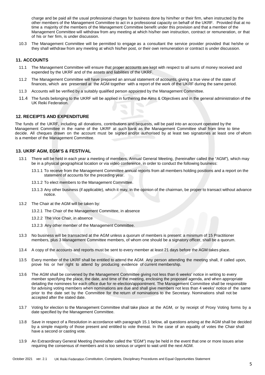charge and be paid all the usual professional charges for business done by him/her or their firm, when instructed by the other members of the Management Committee to act in a professional capacity on behalf of the UKRF. Provided that at no time a majority of the members of the Management Committee benefit under this provision and that a member of the Management Committee will withdraw from any meeting at which his/her own instruction, contract or remuneration, or that of his or her firm, is under discussion.

10.3 The Management Committee will be permitted to engage as a consultant the service provider provided that he/she or they shall withdraw from any meeting at which his/her post, or their own remuneration or contract is under discussion.

### **11. ACCOUNTS**

- 11.1 The Management Committee will ensure that proper accounts are kept with respect to all sums of money received and expended by the UKRF and of the assets and liabilities of the UKRF.
- 11.2 The Management Committee will have prepared an annual statement of accounts, giving a true view of the state of finances, which are presented at the AGM together with a report of the work of the UKRF during the same period.
- 11.3 Accounts will be verified by a suitably qualified person appointed by the Management Committee.
- 11.4 The funds belonging to the UKRF will be applied in furthering the Aims & Objectives and in the general administration of the UK Reiki Federation.

# **12. RECEIPTS AND EXPENDITURE**

The funds of the UKRF, including all donations, contributions and bequests, will be paid into an account operated by the Management Committee in the name of the UKRF at such bank as the Management Committee shall from time to time decide. All cheques drawn on the account must be signed and/or authorised by at least two signatories at least one of whom is a member of the Management Committee.

# **13. UKRF AGM, EGM'S & FESTIVAL**

- 13.1 There will be held in each year a meeting of members, Annual General Meeting, (hereinafter called the "AGM"), which may be in a physical geographical location or via video conference, in order to conduct the following business:
	- 13.1.1 To receive from the Management Committee annual reports from all members holding positions and a report on the statement of accounts for the preceding year.
	- 13.1.2 To elect members to the Management Committee.
	- 13.1.3 Any other business (if applicable), which it may, in the opinion of the chairman, be proper to transact without advance notice.
- 13.2 The Chair at the AGM will be taken by:
	- 13.2.1 The Chair of the Management Committee, in absence
	- 13.2.2 The Vice Chair, in absence
	- 13.2.3 Any other member of the Management Committee.
- 13.3 No business will be transacted at the AGM unless a quorum of members is present: a minimum of 15 Practitioner members, plus 3 Management Committee members, of whom one should be a signatory officer, shall be a quorum.
- 13.4 A copy of the accounts and reports must be sent to every member at least 21 days before the AGM takes place.
- 13.5 Every member of the UKRF shall be entitled to attend the AGM. Any person attending the meeting shall, if called upon, prove his or her right to attend by producing evidence of current membership.
- 13.6 The AGM shall be convened by the Management Committee giving not less than 6 weeks' notice in writing to every member specifying the place, the date, and time of the meeting, enclosing the proposed agenda, and when appropriate detailing the nominees for each office due for re-election/appointment. The Management Committee shall be responsible for advising voting members when nominations are due and shall give members not less than 4 weeks' notice of the same prior to the date set by the Committee for the return of nominations to the Secretary. Nominations shall not be accepted after the stated date.
- 13.7 Voting for election to the Management Committee shall take place at the AGM, or by receipt of Proxy Voting forms by a date specified by the Management Committee.
- 13.8 Save in respect of a Resolution in accordance with paragraph 15.1 below, all questions arising at the AGM shall be decided by a simple majority of those present and entitled to vote thereat. In the case of an equality of votes the Chair shall have a second or casting vote.
- 13.9 An Extraordinary General Meeting (hereinafter called the "EGM") may be held in the event that one or more issues arise requiring the consensus of members and is too serious or urgent to wait until the next AGM.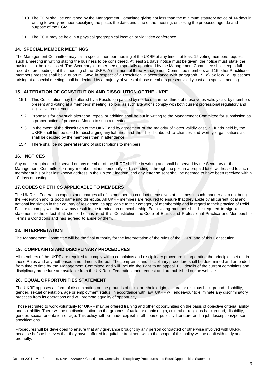- 13.10 The EGM shall be convened by the Management Committee giving not less than the minimum statutory notice of 14 days in writing to every member specifying the place, the date, and time of the meeting, enclosing the proposed agenda and purpose of the EGM.
- 13.11 The EGM may be held in a physical geographical location or via video conference.

# **14. SPECIAL MEMBER MEETINGS**

The Management Committee may call a special member meeting of the UKRF at any time if at least 15 voting members request such a meeting in writing stating the business to be considered. At least 21 days' notice must be given, the notice must state the business to be discussed. The Secretary or other person specially appointed by the Management Committee shall keep a full record of proceedings at this meeting of the UKRF. A minimum of three Management Committee members and 15 other Practitioner members present shall be a quorum. Save in respect of a Resolution in accordance with paragraph 15. a) below, all questions arising at a special meeting shall be decided by a majority of votes of those members present validly cast at a special meeting.

# **15. ALTERATION OF CONSTITUTION AND DISSOLUTION OF THE UKRF**

- 15.1 This Constitution may be altered by a Resolution passed by not less than two thirds of those votes validly cast by members present and voting at a members' meeting, so long as such alterations comply with both current professional regulatory and legislative requirements.
- 15.2 Proposals for any such alteration, repeal or addition shall be put in writing to the Management Committee for submission as a proper notice of proposed Motion to such a meeting.
- 15.3 In the event of the dissolution of the UKRF and by agreement of the majority of votes validly cast, all funds held by the UKRF shall first be used for discharging any liabilities and then be distributed to charities and worthy organisations as shall be decided by the members then in attendance.
- 15.4 There shall be no general refund of subscriptions to members.

# **16. NOTICES**

Any notice required to be served on any member of the UKRF shall be in writing and shall be served by the Secretary or the Management Committee on any member either personally or by sending it through the post in a prepaid letter addressed to such member at his or her last known address in the United Kingdom, and any letter so sent shall be deemed to have been received within 10 days of posting.

# **17. CODES OF ETHICS APPLICABLE TO MEMBERS**

The UK Reiki Federation expects and charges all of its members to conduct themselves at all times in such manner as to not bring the Federation and its good name into disrepute. All UKRF members are required to ensure that they abide by all current local and national legislation in their country of residence; as applicable to their category of membership and in regard to their practice of Reiki. Failure to comply with the law may result in the termination of membership. Each voting member shall be required to sign a statement to the effect that she or he has read this Constitution, the Code of Ethics and Professional Practice and Membership Terms & Conditions and has agreed to abide by them.

#### **18. INTERPRETATION**

The Management Committee will be the final authority for the interpretation of the rules of the UKRF and of this Constitution.

# **19. COMPLAINTS AND DISCIPLINARY PROCEDURES**

All members of the UKRF are required to comply with a complaints and disciplinary procedure incorporating the principles set out in these Rules and any authorised amendments thereof. The complaints and disciplinary procedure shall be determined and amended from time to time by the Management Committee and will include the right to an appeal. Full details of the current complaints and disciplinary procedure are available from the UK Reiki Federation upon request and are published on the website.

### **20. EQUAL OPPORTUNITIES STATEMENT**

The UKRF opposes all form of discrimination on the grounds of racial or ethnic origin, cultural or religious background, disability, gender, sexual orientation, age or employment status, in accordance with law. UKRF will endeavour to eliminate any discriminatory practices from its operations and will promote equality of opportunity.

Those recruited to work voluntarily for UKRF may be offered training and other opportunities on the basis of objective criteria, ability and suitability. There will be no discrimination on the grounds of racial or ethnic origin, cultural or religious background, disability, gender, sexual orientation or age. This policy will be made explicit in all course publicity literature and in job descriptions/person specifications.

Procedures will be developed to ensure that any grievance brought by any person contracted or otherwise involved with UKRF, because he/she believes that they have suffered inequitable treatment within the scope of this policy will be dealt with fairly and promptly.